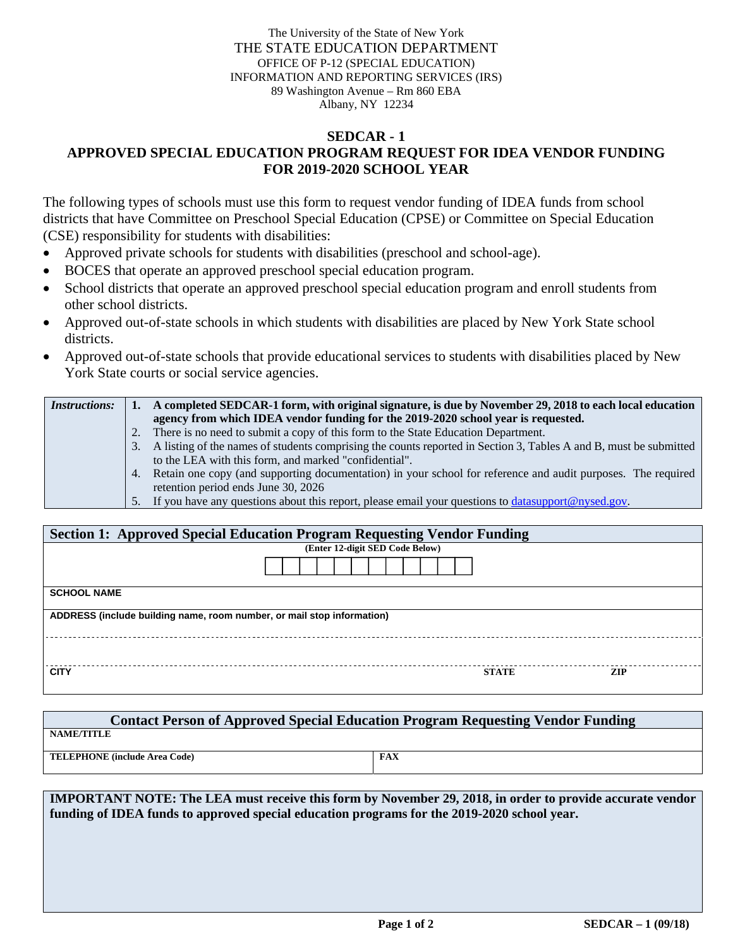The University of the State of New York THE STATE EDUCATION DEPARTMENT OFFICE OF P-12 (SPECIAL EDUCATION) INFORMATION AND REPORTING SERVICES (IRS) 89 Washington Avenue – Rm 860 EBA Albany, NY 12234

## **SEDCAR - 1 APPROVED SPECIAL EDUCATION PROGRAM REQUEST FOR IDEA VENDOR FUNDING FOR 2019-2020 SCHOOL YEAR**

The following types of schools must use this form to request vendor funding of IDEA funds from school districts that have Committee on Preschool Special Education (CPSE) or Committee on Special Education (CSE) responsibility for students with disabilities:

- Approved private schools for students with disabilities (preschool and school-age).
- BOCES that operate an approved preschool special education program.
- School districts that operate an approved preschool special education program and enroll students from other school districts.
- Approved out-of-state schools in which students with disabilities are placed by New York State school districts.
- Approved out-of-state schools that provide educational services to students with disabilities placed by New York State courts or social service agencies.

| <i>Instructions:</i> |    | A completed SEDCAR-1 form, with original signature, is due by November 29, 2018 to each local education           |
|----------------------|----|-------------------------------------------------------------------------------------------------------------------|
|                      |    | agency from which IDEA vendor funding for the 2019-2020 school year is requested.                                 |
|                      |    | 2. There is no need to submit a copy of this form to the State Education Department.                              |
|                      | 3. | A listing of the names of students comprising the counts reported in Section 3, Tables A and B, must be submitted |
|                      |    | to the LEA with this form, and marked "confidential".                                                             |
|                      |    | 4. Retain one copy (and supporting documentation) in your school for reference and audit purposes. The required   |
|                      |    | retention period ends June 30, 2026                                                                               |
|                      |    | 5. If you have any questions about this report, please email your questions to <b>datasupport</b> @nysed.gov.     |

| <b>Section 1: Approved Special Education Program Requesting Vendor Funding</b> |                                 |              |            |
|--------------------------------------------------------------------------------|---------------------------------|--------------|------------|
|                                                                                | (Enter 12-digit SED Code Below) |              |            |
|                                                                                |                                 |              |            |
| <b>SCHOOL NAME</b>                                                             |                                 |              |            |
| ADDRESS (include building name, room number, or mail stop information)         |                                 |              |            |
|                                                                                |                                 |              |            |
| <b>CITY</b>                                                                    |                                 | <b>STATE</b> | <b>ZIP</b> |

| <b>Contact Person of Approved Special Education Program Requesting Vendor Funding</b> |            |  |  |
|---------------------------------------------------------------------------------------|------------|--|--|
| NAME/TITLE                                                                            |            |  |  |
| <b>TELEPHONE</b> (include Area Code)                                                  | <b>FAX</b> |  |  |

**IMPORTANT NOTE: The LEA must receive this form by November 29, 2018, in order to provide accurate vendor funding of IDEA funds to approved special education programs for the 2019-2020 school year.**